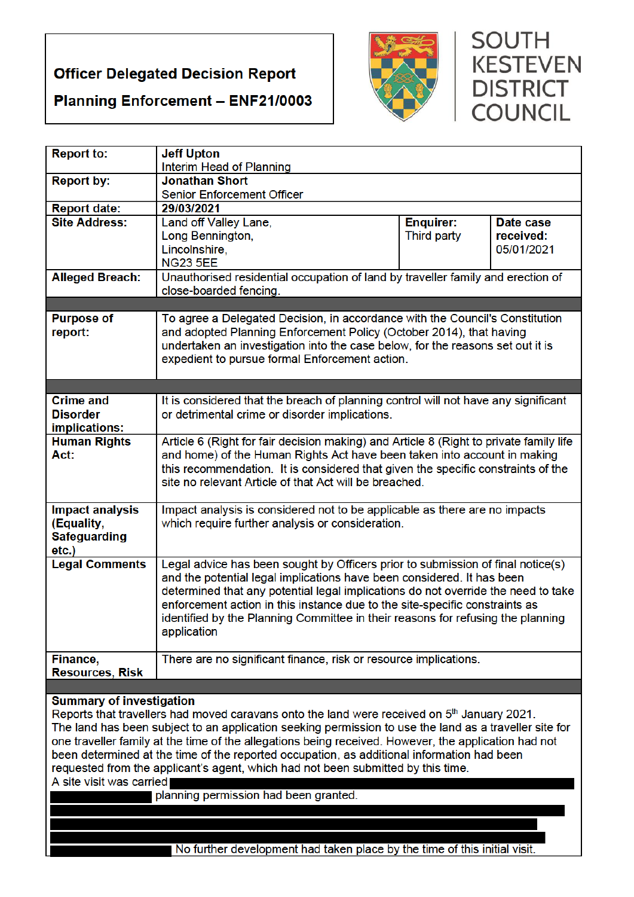# **Officer Delegated Decision Report**





# **SOUTH KESTEVEN DISTRICT COUNCIL**

| <b>Report to:</b>                                                                                       | <b>Jeff Upton</b>                                                                                                                                     |                  |            |  |
|---------------------------------------------------------------------------------------------------------|-------------------------------------------------------------------------------------------------------------------------------------------------------|------------------|------------|--|
| <b>Report by:</b>                                                                                       | Interim Head of Planning<br><b>Jonathan Short</b>                                                                                                     |                  |            |  |
|                                                                                                         | Senior Enforcement Officer                                                                                                                            |                  |            |  |
| <b>Report date:</b>                                                                                     | 29/03/2021                                                                                                                                            |                  |            |  |
| <b>Site Address:</b>                                                                                    | Land off Valley Lane,                                                                                                                                 | <b>Enquirer:</b> | Date case  |  |
|                                                                                                         | Long Bennington,                                                                                                                                      | Third party      | received:  |  |
|                                                                                                         | Lincolnshire,                                                                                                                                         |                  | 05/01/2021 |  |
|                                                                                                         | <b>NG23 5EE</b>                                                                                                                                       |                  |            |  |
| <b>Alleged Breach:</b>                                                                                  | Unauthorised residential occupation of land by traveller family and erection of                                                                       |                  |            |  |
|                                                                                                         | close-boarded fencing.                                                                                                                                |                  |            |  |
|                                                                                                         |                                                                                                                                                       |                  |            |  |
| <b>Purpose of</b>                                                                                       | To agree a Delegated Decision, in accordance with the Council's Constitution                                                                          |                  |            |  |
| report:                                                                                                 | and adopted Planning Enforcement Policy (October 2014), that having<br>undertaken an investigation into the case below, for the reasons set out it is |                  |            |  |
|                                                                                                         | expedient to pursue formal Enforcement action.                                                                                                        |                  |            |  |
|                                                                                                         |                                                                                                                                                       |                  |            |  |
|                                                                                                         |                                                                                                                                                       |                  |            |  |
| <b>Crime and</b>                                                                                        | It is considered that the breach of planning control will not have any significant                                                                    |                  |            |  |
| <b>Disorder</b>                                                                                         | or detrimental crime or disorder implications.                                                                                                        |                  |            |  |
| implications:                                                                                           |                                                                                                                                                       |                  |            |  |
| <b>Human Rights</b>                                                                                     | Article 6 (Right for fair decision making) and Article 8 (Right to private family life                                                                |                  |            |  |
| Act:                                                                                                    | and home) of the Human Rights Act have been taken into account in making                                                                              |                  |            |  |
|                                                                                                         | this recommendation. It is considered that given the specific constraints of the                                                                      |                  |            |  |
|                                                                                                         | site no relevant Article of that Act will be breached.                                                                                                |                  |            |  |
| <b>Impact analysis</b>                                                                                  |                                                                                                                                                       |                  |            |  |
| (Equality,                                                                                              | Impact analysis is considered not to be applicable as there are no impacts<br>which require further analysis or consideration.                        |                  |            |  |
| <b>Safeguarding</b>                                                                                     |                                                                                                                                                       |                  |            |  |
| etc.)                                                                                                   |                                                                                                                                                       |                  |            |  |
| <b>Legal Comments</b>                                                                                   | Legal advice has been sought by Officers prior to submission of final notice(s)                                                                       |                  |            |  |
|                                                                                                         | and the potential legal implications have been considered. It has been                                                                                |                  |            |  |
|                                                                                                         | determined that any potential legal implications do not override the need to take                                                                     |                  |            |  |
|                                                                                                         | enforcement action in this instance due to the site-specific constraints as                                                                           |                  |            |  |
|                                                                                                         | identified by the Planning Committee in their reasons for refusing the planning                                                                       |                  |            |  |
|                                                                                                         | application                                                                                                                                           |                  |            |  |
|                                                                                                         | There are no significant finance, risk or resource implications.                                                                                      |                  |            |  |
| Finance,<br><b>Resources, Risk</b>                                                                      |                                                                                                                                                       |                  |            |  |
|                                                                                                         |                                                                                                                                                       |                  |            |  |
| <b>Summary of investigation</b>                                                                         |                                                                                                                                                       |                  |            |  |
| Reports that travellers had moved caravans onto the land were received on 5 <sup>th</sup> January 2021. |                                                                                                                                                       |                  |            |  |
| The land has been subject to an application seeking permission to use the land as a traveller site for  |                                                                                                                                                       |                  |            |  |
| one traveller family at the time of the allegations being received. However, the application had not    |                                                                                                                                                       |                  |            |  |
| been determined at the time of the reported occupation, as additional information had been              |                                                                                                                                                       |                  |            |  |
| requested from the applicant's agent, which had not been submitted by this time.                        |                                                                                                                                                       |                  |            |  |
| A site visit was carried                                                                                |                                                                                                                                                       |                  |            |  |
| planning permission had been granted.                                                                   |                                                                                                                                                       |                  |            |  |
|                                                                                                         |                                                                                                                                                       |                  |            |  |
|                                                                                                         |                                                                                                                                                       |                  |            |  |
| No further development had taken place by the time of this initial visit.                               |                                                                                                                                                       |                  |            |  |
|                                                                                                         |                                                                                                                                                       |                  |            |  |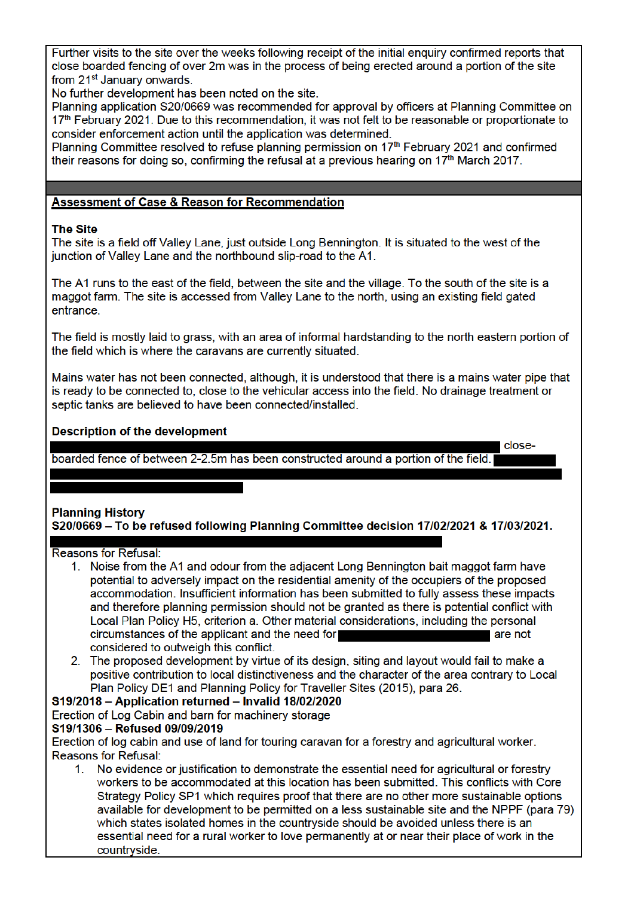Further visits to the site over the weeks following receipt of the initial enquiry confirmed reports that close boarded fencing of over 2m was in the process of being erected around a portion of the site from 21<sup>st</sup> January onwards.

No further development has been noted on the site.

Planning application S20/0669 was recommended for approval by officers at Planning Committee on 17<sup>th</sup> February 2021. Due to this recommendation, it was not felt to be reasonable or proportionate to consider enforcement action until the application was determined.

Planning Committee resolved to refuse planning permission on 17<sup>th</sup> February 2021 and confirmed their reasons for doing so, confirming the refusal at a previous hearing on 17<sup>th</sup> March 2017.

#### **Assessment of Case & Reason for Recommendation**

#### **The Site**

The site is a field off Valley Lane, just outside Long Bennington. It is situated to the west of the junction of Valley Lane and the northbound slip-road to the A1.

The A1 runs to the east of the field, between the site and the village. To the south of the site is a maggot farm. The site is accessed from Valley Lane to the north, using an existing field gated entrance.

The field is mostly laid to grass, with an area of informal hardstanding to the north eastern portion of the field which is where the caravans are currently situated.

Mains water has not been connected, although, it is understood that there is a mains water pipe that is ready to be connected to, close to the vehicular access into the field. No drainage treatment or septic tanks are believed to have been connected/installed.

l close-

#### **Description of the development**

boarded fence of between 2-2.5m has been constructed around a portion of the field.

# **Planning History** S20/0669 - To be refused following Planning Committee decision 17/02/2021 & 17/03/2021.

#### **Reasons for Refusal:**

- 1. Noise from the A1 and odour from the adiacent Long Bennington bait maggot farm have potential to adversely impact on the residential amenity of the occupiers of the proposed accommodation. Insufficient information has been submitted to fully assess these impacts and therefore planning permission should not be granted as there is potential conflict with Local Plan Policy H5, criterion a. Other material considerations, including the personal circumstances of the applicant and the need for are not considered to outweigh this conflict.
- 2. The proposed development by virtue of its design, siting and layout would fail to make a positive contribution to local distinctiveness and the character of the area contrary to Local Plan Policy DE1 and Planning Policy for Traveller Sites (2015), para 26.

# S19/2018 - Application returned - Invalid 18/02/2020

Erection of Log Cabin and barn for machinery storage

#### S19/1306 - Refused 09/09/2019

Erection of log cabin and use of land for touring caravan for a forestry and agricultural worker. Reasons for Refusal:

1. No evidence or justification to demonstrate the essential need for agricultural or forestry workers to be accommodated at this location has been submitted. This conflicts with Core Strategy Policy SP1 which requires proof that there are no other more sustainable options available for development to be permitted on a less sustainable site and the NPPF (para 79) which states isolated homes in the countryside should be avoided unless there is an essential need for a rural worker to love permanently at or near their place of work in the countryside.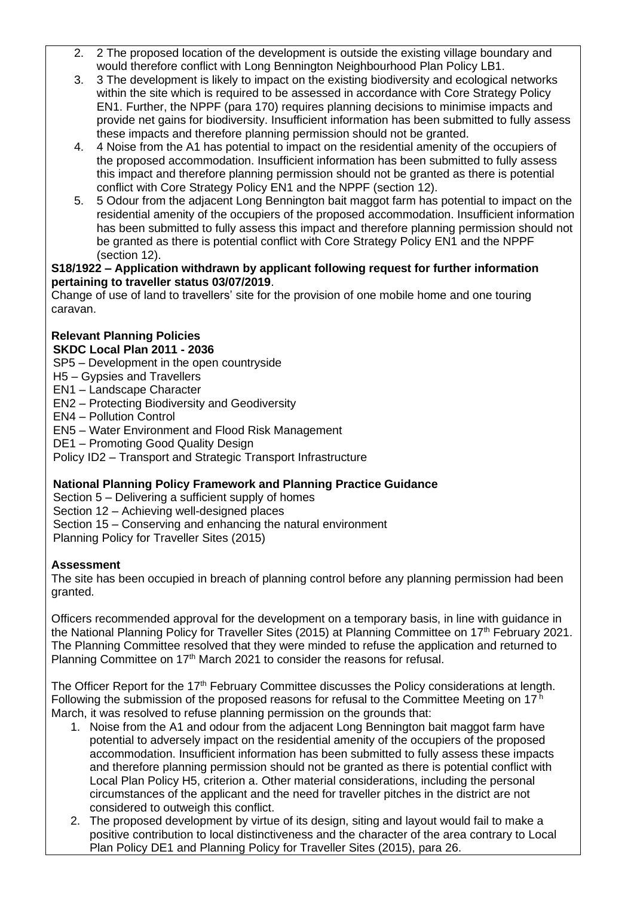- 2. 2 The proposed location of the development is outside the existing village boundary and would therefore conflict with Long Bennington Neighbourhood Plan Policy LB1.
- 3. 3 The development is likely to impact on the existing biodiversity and ecological networks within the site which is required to be assessed in accordance with Core Strategy Policy EN1. Further, the NPPF (para 170) requires planning decisions to minimise impacts and provide net gains for biodiversity. Insufficient information has been submitted to fully assess these impacts and therefore planning permission should not be granted.
- 4. 4 Noise from the A1 has potential to impact on the residential amenity of the occupiers of the proposed accommodation. Insufficient information has been submitted to fully assess this impact and therefore planning permission should not be granted as there is potential conflict with Core Strategy Policy EN1 and the NPPF (section 12).
- 5. 5 Odour from the adjacent Long Bennington bait maggot farm has potential to impact on the residential amenity of the occupiers of the proposed accommodation. Insufficient information has been submitted to fully assess this impact and therefore planning permission should not be granted as there is potential conflict with Core Strategy Policy EN1 and the NPPF (section 12).

#### **S18/1922 – Application withdrawn by applicant following request for further information pertaining to traveller status 03/07/2019**.

Change of use of land to travellers' site for the provision of one mobile home and one touring caravan.

#### **Relevant Planning Policies SKDC Local Plan 2011 - 2036**

SP5 – Development in the open countryside

- H5 Gypsies and Travellers
- EN1 Landscape Character
- EN2 Protecting Biodiversity and Geodiversity
- EN4 Pollution Control
- EN5 Water Environment and Flood Risk Management
- DE1 Promoting Good Quality Design

Policy ID2 – Transport and Strategic Transport Infrastructure

# **National Planning Policy Framework and Planning Practice Guidance**

Section 5 – Delivering a sufficient supply of homes

Section 12 – Achieving well-designed places

Section 15 – Conserving and enhancing the natural environment

Planning Policy for Traveller Sites (2015)

# **Assessment**

The site has been occupied in breach of planning control before any planning permission had been granted.

Officers recommended approval for the development on a temporary basis, in line with guidance in the National Planning Policy for Traveller Sites (2015) at Planning Committee on 17<sup>th</sup> February 2021. The Planning Committee resolved that they were minded to refuse the application and returned to Planning Committee on 17<sup>th</sup> March 2021 to consider the reasons for refusal.

The Officer Report for the 17<sup>th</sup> February Committee discusses the Policy considerations at length. Following the submission of the proposed reasons for refusal to the Committee Meeting on  $17<sup>h</sup>$ March, it was resolved to refuse planning permission on the grounds that:

- 1. Noise from the A1 and odour from the adjacent Long Bennington bait maggot farm have potential to adversely impact on the residential amenity of the occupiers of the proposed accommodation. Insufficient information has been submitted to fully assess these impacts and therefore planning permission should not be granted as there is potential conflict with Local Plan Policy H5, criterion a. Other material considerations, including the personal circumstances of the applicant and the need for traveller pitches in the district are not considered to outweigh this conflict.
- 2. The proposed development by virtue of its design, siting and layout would fail to make a positive contribution to local distinctiveness and the character of the area contrary to Local Plan Policy DE1 and Planning Policy for Traveller Sites (2015), para 26.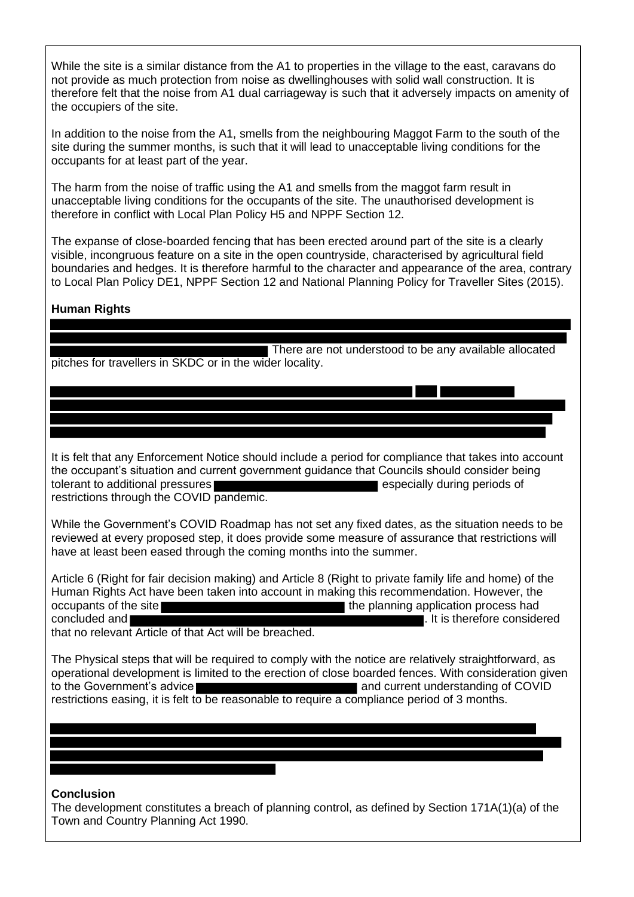While the site is a similar distance from the A1 to properties in the village to the east, caravans do not provide as much protection from noise as dwellinghouses with solid wall construction. It is therefore felt that the noise from A1 dual carriageway is such that it adversely impacts on amenity of the occupiers of the site.

In addition to the noise from the A1, smells from the neighbouring Maggot Farm to the south of the site during the summer months, is such that it will lead to unacceptable living conditions for the occupants for at least part of the year.

The harm from the noise of traffic using the A1 and smells from the maggot farm result in unacceptable living conditions for the occupants of the site. The unauthorised development is therefore in conflict with Local Plan Policy H5 and NPPF Section 12.

The expanse of close-boarded fencing that has been erected around part of the site is a clearly visible, incongruous feature on a site in the open countryside, characterised by agricultural field boundaries and hedges. It is therefore harmful to the character and appearance of the area, contrary to Local Plan Policy DE1, NPPF Section 12 and National Planning Policy for Traveller Sites (2015).

# **Human Rights**

There are not understood to be any available allocated pitches for travellers in SKDC or in the wider locality.

It is felt that any Enforcement Notice should include a period for compliance that takes into account the occupant's situation and current government guidance that Councils should consider being<br>tolerant to additional pressures tolerant to additional pressures restrictions through the COVID pandemic.

While the Government's COVID Roadmap has not set any fixed dates, as the situation needs to be reviewed at every proposed step, it does provide some measure of assurance that restrictions will have at least been eased through the coming months into the summer.

Article 6 (Right for fair decision making) and Article 8 (Right to private family life and home) of the Human Rights Act have been taken into account in making this recommendation. However, the occupants of the site the planning application process had concluded and **EXECUTE:** The concluded and **EXECUTE:** The concluded and **EXECUTE:** The considered that no relevant Article of that Act will be breached.

The Physical steps that will be required to comply with the notice are relatively straightforward, as operational development is limited to the erection of close boarded fences. With consideration given to the Government's advice **and current understanding of COVID** restrictions easing, it is felt to be reasonable to require a compliance period of 3 months.

#### **Conclusion**

The development constitutes a breach of planning control, as defined by Section 171A(1)(a) of the Town and Country Planning Act 1990.